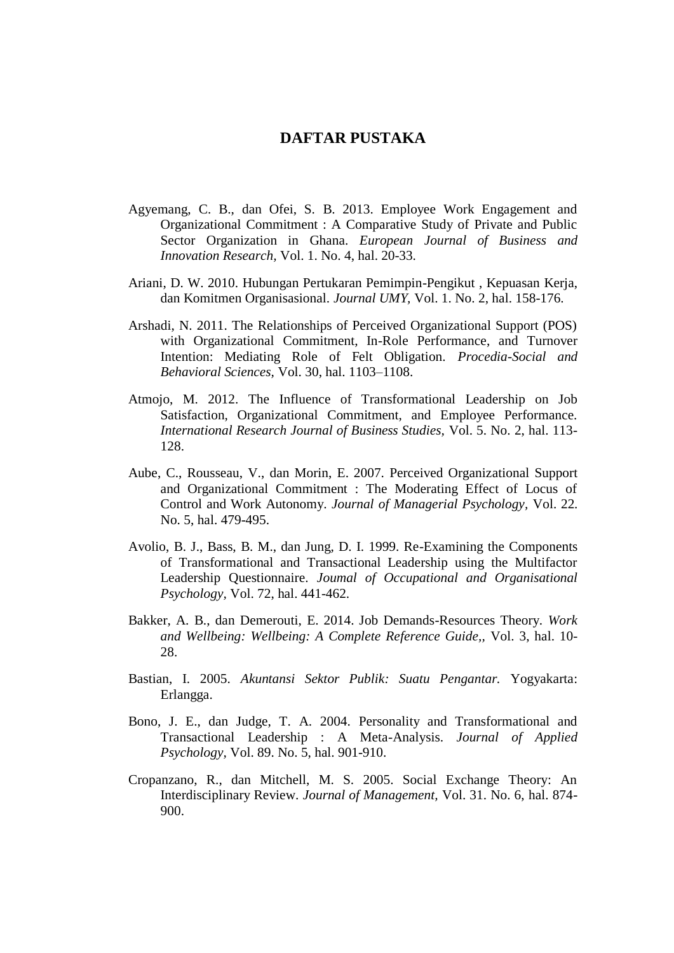## **DAFTAR PUSTAKA**

- Agyemang, C. B., dan Ofei, S. B. 2013. Employee Work Engagement and Organizational Commitment : A Comparative Study of Private and Public Sector Organization in Ghana. *European Journal of Business and Innovation Research,* Vol. 1. No. 4, hal. 20-33.
- Ariani, D. W. 2010. Hubungan Pertukaran Pemimpin-Pengikut , Kepuasan Kerja, dan Komitmen Organisasional. *Journal UMY,* Vol. 1. No. 2, hal. 158-176.
- Arshadi, N. 2011. The Relationships of Perceived Organizational Support (POS) with Organizational Commitment, In-Role Performance, and Turnover Intention: Mediating Role of Felt Obligation. *Procedia-Social and Behavioral Sciences,* Vol. 30, hal. 1103–1108.
- Atmojo, M. 2012. The Influence of Transformational Leadership on Job Satisfaction, Organizational Commitment, and Employee Performance. *International Research Journal of Business Studies,* Vol. 5. No. 2, hal. 113- 128.
- Aube, C., Rousseau, V., dan Morin, E. 2007. Perceived Organizational Support and Organizational Commitment : The Moderating Effect of Locus of Control and Work Autonomy. *Journal of Managerial Psychology,* Vol. 22. No. 5, hal. 479-495.
- Avolio, B. J., Bass, B. M., dan Jung, D. I. 1999. Re-Examining the Components of Transformational and Transactional Leadership using the Multifactor Leadership Questionnaire. *Joumal of Occupational and Organisational Psychology,* Vol. 72, hal. 441-462.
- Bakker, A. B., dan Demerouti, E. 2014. Job Demands-Resources Theory. *Work and Wellbeing: Wellbeing: A Complete Reference Guide,,* Vol. 3, hal. 10- 28.
- Bastian, I. 2005. *Akuntansi Sektor Publik: Suatu Pengantar.* Yogyakarta: Erlangga.
- Bono, J. E., dan Judge, T. A. 2004. Personality and Transformational and Transactional Leadership : A Meta-Analysis. *Journal of Applied Psychology,* Vol. 89. No. 5, hal. 901-910.
- Cropanzano, R., dan Mitchell, M. S. 2005. Social Exchange Theory: An Interdisciplinary Review. *Journal of Management,* Vol. 31. No. 6, hal. 874- 900.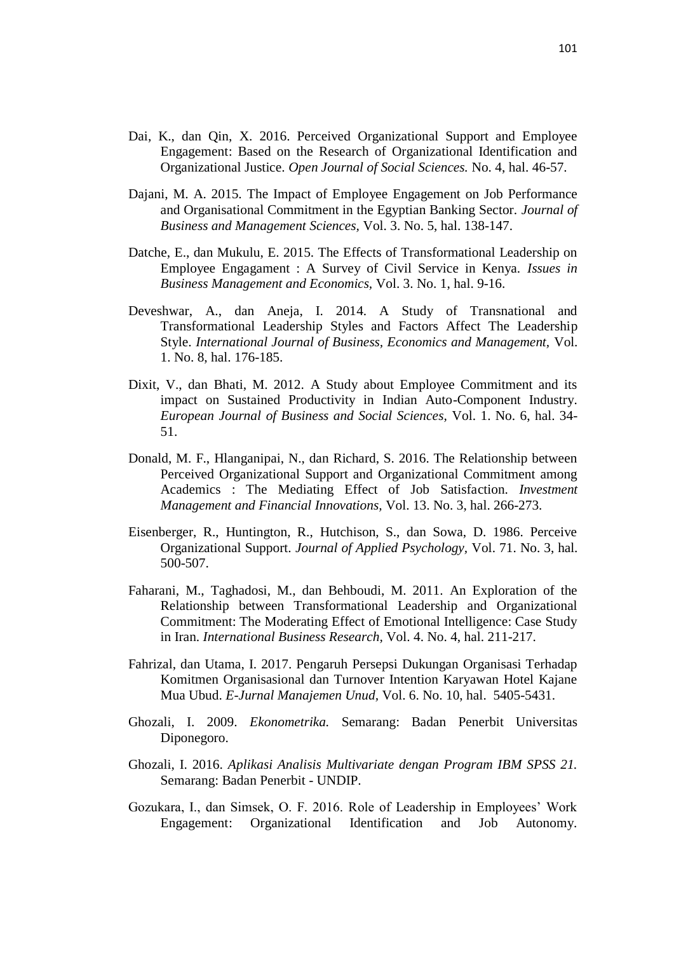- Dai, K., dan Qin, X. 2016. Perceived Organizational Support and Employee Engagement: Based on the Research of Organizational Identification and Organizational Justice. *Open Journal of Social Sciences.* No. 4, hal. 46-57.
- Dajani, M. A. 2015. The Impact of Employee Engagement on Job Performance and Organisational Commitment in the Egyptian Banking Sector. *Journal of Business and Management Sciences,* Vol. 3. No. 5, hal. 138-147.
- Datche, E., dan Mukulu, E. 2015. The Effects of Transformational Leadership on Employee Engagament : A Survey of Civil Service in Kenya. *Issues in Business Management and Economics,* Vol. 3. No. 1, hal. 9-16.
- Deveshwar, A., dan Aneja, I. 2014. A Study of Transnational and Transformational Leadership Styles and Factors Affect The Leadership Style. *International Journal of Business, Economics and Management,* Vol. 1. No. 8, hal. 176-185.
- Dixit, V., dan Bhati, M. 2012. A Study about Employee Commitment and its impact on Sustained Productivity in Indian Auto-Component Industry. *European Journal of Business and Social Sciences,* Vol. 1. No. 6, hal. 34- 51.
- Donald, M. F., Hlanganipai, N., dan Richard, S. 2016. The Relationship between Perceived Organizational Support and Organizational Commitment among Academics : The Mediating Effect of Job Satisfaction. *Investment Management and Financial Innovations,* Vol. 13. No. 3, hal. 266-273.
- Eisenberger, R., Huntington, R., Hutchison, S., dan Sowa, D. 1986. Perceive Organizational Support. *Journal of Applied Psychology,* Vol. 71. No. 3, hal. 500-507.
- Faharani, M., Taghadosi, M., dan Behboudi, M. 2011. An Exploration of the Relationship between Transformational Leadership and Organizational Commitment: The Moderating Effect of Emotional Intelligence: Case Study in Iran. *International Business Research,* Vol. 4. No. 4, hal. 211-217.
- Fahrizal, dan Utama, I. 2017. Pengaruh Persepsi Dukungan Organisasi Terhadap Komitmen Organisasional dan Turnover Intention Karyawan Hotel Kajane Mua Ubud. *E-Jurnal Manajemen Unud,* Vol. 6. No. 10, hal. 5405-5431.
- Ghozali, I. 2009. *Ekonometrika.* Semarang: Badan Penerbit Universitas Diponegoro.
- Ghozali, I. 2016. *Aplikasi Analisis Multivariate dengan Program IBM SPSS 21.* Semarang: Badan Penerbit - UNDIP.
- Gozukara, I., dan Simsek, O. F. 2016. Role of Leadership in Employees' Work Engagement: Organizational Identification and Job Autonomy.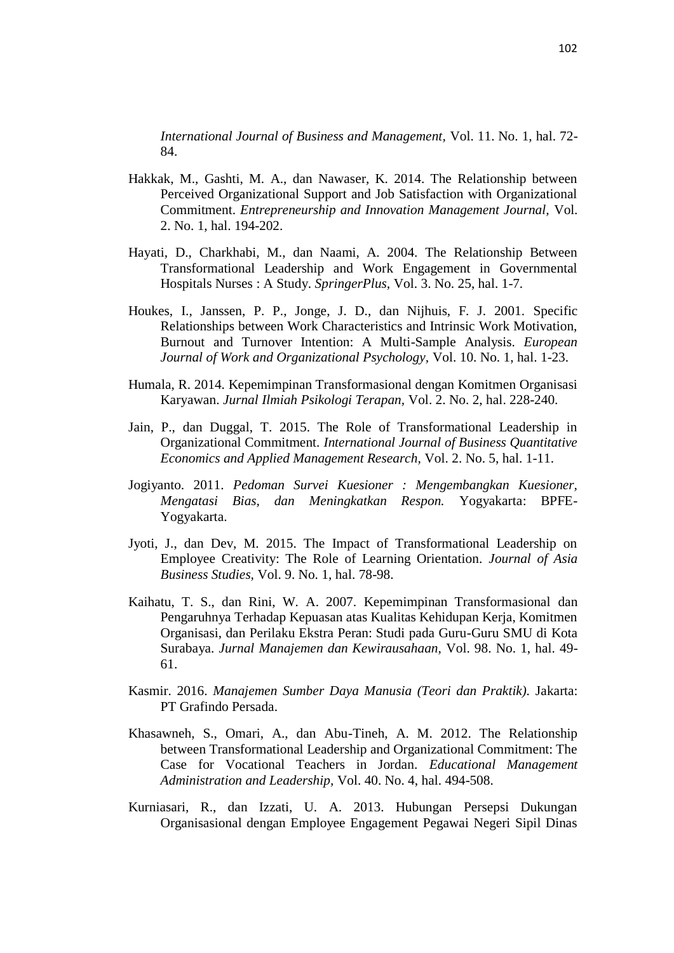*International Journal of Business and Management,* Vol. 11. No. 1, hal. 72- 84.

- Hakkak, M., Gashti, M. A., dan Nawaser, K. 2014. The Relationship between Perceived Organizational Support and Job Satisfaction with Organizational Commitment. *Entrepreneurship and Innovation Management Journal,* Vol. 2. No. 1, hal. 194-202.
- Hayati, D., Charkhabi, M., dan Naami, A. 2004. The Relationship Between Transformational Leadership and Work Engagement in Governmental Hospitals Nurses : A Study. *SpringerPlus,* Vol. 3. No. 25, hal. 1-7.
- Houkes, I., Janssen, P. P., Jonge, J. D., dan Nijhuis, F. J. 2001. Specific Relationships between Work Characteristics and Intrinsic Work Motivation, Burnout and Turnover Intention: A Multi-Sample Analysis. *European Journal of Work and Organizational Psychology,* Vol. 10. No. 1, hal. 1-23.
- Humala, R. 2014. Kepemimpinan Transformasional dengan Komitmen Organisasi Karyawan. *Jurnal Ilmiah Psikologi Terapan,* Vol. 2. No. 2, hal. 228-240.
- Jain, P., dan Duggal, T. 2015. The Role of Transformational Leadership in Organizational Commitment. *International Journal of Business Quantitative Economics and Applied Management Research,* Vol. 2. No. 5, hal. 1-11.
- Jogiyanto. 2011. *Pedoman Survei Kuesioner : Mengembangkan Kuesioner, Mengatasi Bias, dan Meningkatkan Respon.* Yogyakarta: BPFE-Yogyakarta.
- Jyoti, J., dan Dev, M. 2015. The Impact of Transformational Leadership on Employee Creativity: The Role of Learning Orientation. *Journal of Asia Business Studies,* Vol. 9. No. 1, hal. 78-98.
- Kaihatu, T. S., dan Rini, W. A. 2007. Kepemimpinan Transformasional dan Pengaruhnya Terhadap Kepuasan atas Kualitas Kehidupan Kerja, Komitmen Organisasi, dan Perilaku Ekstra Peran: Studi pada Guru-Guru SMU di Kota Surabaya. *Jurnal Manajemen dan Kewirausahaan,* Vol. 98. No. 1, hal. 49- 61.
- Kasmir. 2016. *Manajemen Sumber Daya Manusia (Teori dan Praktik).* Jakarta: PT Grafindo Persada.
- Khasawneh, S., Omari, A., dan Abu-Tineh, A. M. 2012. The Relationship between Transformational Leadership and Organizational Commitment: The Case for Vocational Teachers in Jordan. *Educational Management Administration and Leadership,* Vol. 40. No. 4, hal. 494-508.
- Kurniasari, R., dan Izzati, U. A. 2013. Hubungan Persepsi Dukungan Organisasional dengan Employee Engagement Pegawai Negeri Sipil Dinas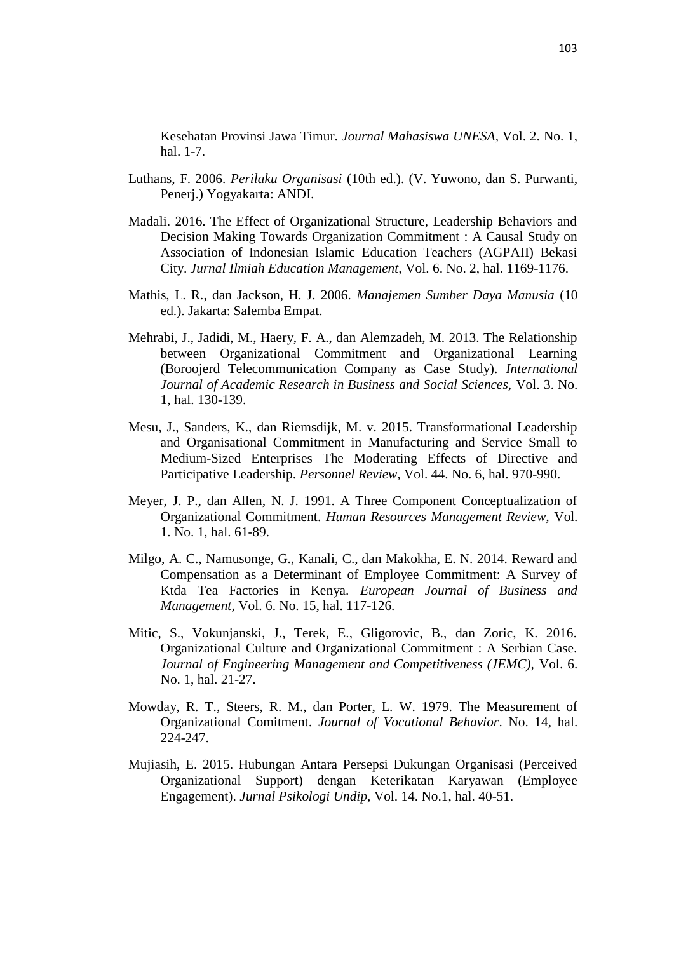Kesehatan Provinsi Jawa Timur. *Journal Mahasiswa UNESA,* Vol. 2. No. 1, hal. 1-7.

- Luthans, F. 2006. *Perilaku Organisasi* (10th ed.). (V. Yuwono, dan S. Purwanti, Penerj.) Yogyakarta: ANDI.
- Madali. 2016. The Effect of Organizational Structure, Leadership Behaviors and Decision Making Towards Organization Commitment : A Causal Study on Association of Indonesian Islamic Education Teachers (AGPAII) Bekasi City. *Jurnal Ilmiah Education Management,* Vol. 6. No. 2, hal. 1169-1176.
- Mathis, L. R., dan Jackson, H. J. 2006. *Manajemen Sumber Daya Manusia* (10 ed.). Jakarta: Salemba Empat.
- Mehrabi, J., Jadidi, M., Haery, F. A., dan Alemzadeh, M. 2013. The Relationship between Organizational Commitment and Organizational Learning (Boroojerd Telecommunication Company as Case Study). *International Journal of Academic Research in Business and Social Sciences,* Vol. 3. No. 1, hal. 130-139.
- Mesu, J., Sanders, K., dan Riemsdijk, M. v. 2015. Transformational Leadership and Organisational Commitment in Manufacturing and Service Small to Medium-Sized Enterprises The Moderating Effects of Directive and Participative Leadership. *Personnel Review,* Vol. 44. No. 6, hal. 970-990.
- Meyer, J. P., dan Allen, N. J. 1991. A Three Component Conceptualization of Organizational Commitment. *Human Resources Management Review,* Vol. 1. No. 1, hal. 61-89.
- Milgo, A. C., Namusonge, G., Kanali, C., dan Makokha, E. N. 2014. Reward and Compensation as a Determinant of Employee Commitment: A Survey of Ktda Tea Factories in Kenya. *European Journal of Business and Management,* Vol. 6. No. 15, hal. 117-126.
- Mitic, S., Vokunjanski, J., Terek, E., Gligorovic, B., dan Zoric, K. 2016. Organizational Culture and Organizational Commitment : A Serbian Case. *Journal of Engineering Management and Competitiveness (JEMC),* Vol. 6. No. 1, hal. 21-27.
- Mowday, R. T., Steers, R. M., dan Porter, L. W. 1979. The Measurement of Organizational Comitment. *Journal of Vocational Behavior*. No. 14, hal. 224-247.
- Mujiasih, E. 2015. Hubungan Antara Persepsi Dukungan Organisasi (Perceived Organizational Support) dengan Keterikatan Karyawan (Employee Engagement). *Jurnal Psikologi Undip,* Vol. 14. No.1, hal. 40-51.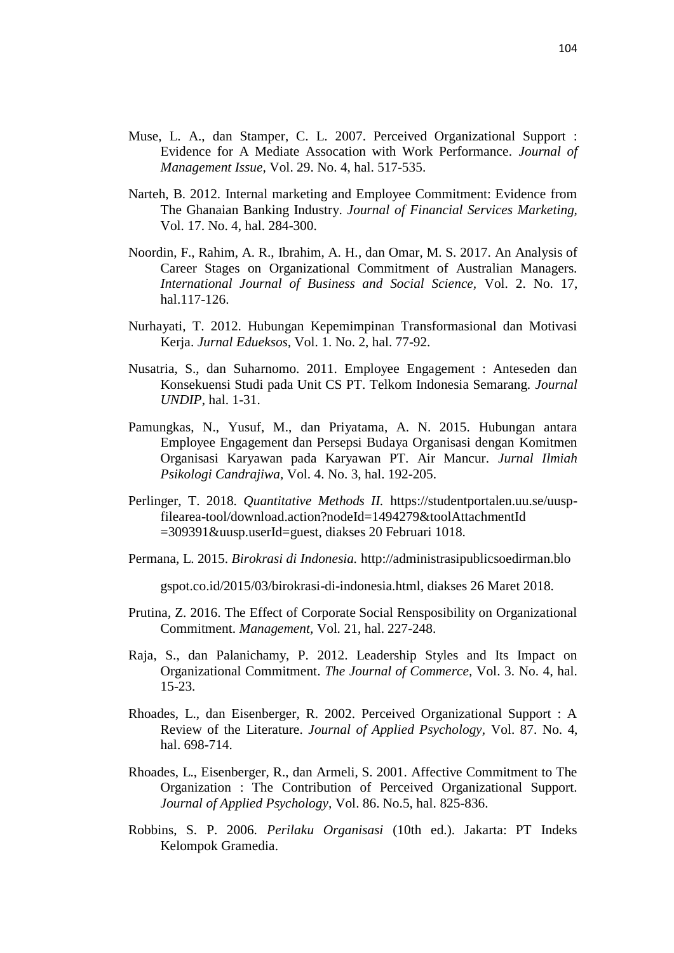- Muse, L. A., dan Stamper, C. L. 2007. Perceived Organizational Support : Evidence for A Mediate Assocation with Work Performance. *Journal of Management Issue,* Vol. 29. No. 4, hal. 517-535.
- Narteh, B. 2012. Internal marketing and Employee Commitment: Evidence from The Ghanaian Banking Industry. *Journal of Financial Services Marketing,*  Vol. 17. No. 4, hal. 284-300.
- Noordin, F., Rahim, A. R., Ibrahim, A. H., dan Omar, M. S. 2017. An Analysis of Career Stages on Organizational Commitment of Australian Managers. *International Journal of Business and Social Science,* Vol. 2. No. 17, hal.117-126.
- Nurhayati, T. 2012. Hubungan Kepemimpinan Transformasional dan Motivasi Kerja. *Jurnal Edueksos,* Vol. 1. No. 2, hal. 77-92.
- Nusatria, S., dan Suharnomo. 2011. Employee Engagement : Anteseden dan Konsekuensi Studi pada Unit CS PT. Telkom Indonesia Semarang. *Journal UNDIP*, hal. 1-31.
- Pamungkas, N., Yusuf, M., dan Priyatama, A. N. 2015. Hubungan antara Employee Engagement dan Persepsi Budaya Organisasi dengan Komitmen Organisasi Karyawan pada Karyawan PT. Air Mancur. *Jurnal Ilmiah Psikologi Candrajiwa,* Vol. 4. No. 3, hal. 192-205.
- Perlinger, T. 2018. *Quantitative Methods II.* https://studentportalen.uu.se/uuspfilearea-tool/download.action?nodeId=1494279&toolAttachmentId =309391&uusp.userId=guest, diakses 20 Februari 1018.
- Permana, L. 2015. *Birokrasi di Indonesia.* http://administrasipublicsoedirman.blo

gspot.co.id/2015/03/birokrasi-di-indonesia.html, diakses 26 Maret 2018.

- Prutina, Z. 2016. The Effect of Corporate Social Rensposibility on Organizational Commitment. *Management,* Vol*.* 21, hal. 227-248.
- Raja, S., dan Palanichamy, P. 2012. Leadership Styles and Its Impact on Organizational Commitment. *The Journal of Commerce,* Vol. 3. No. 4, hal. 15-23.
- Rhoades, L., dan Eisenberger, R. 2002. Perceived Organizational Support : A Review of the Literature. *Journal of Applied Psychology,* Vol. 87. No. 4, hal. 698-714.
- Rhoades, L., Eisenberger, R., dan Armeli, S. 2001. Affective Commitment to The Organization : The Contribution of Perceived Organizational Support. *Journal of Applied Psychology,* Vol. 86. No.5, hal. 825-836.
- Robbins, S. P. 2006. *Perilaku Organisasi* (10th ed.). Jakarta: PT Indeks Kelompok Gramedia.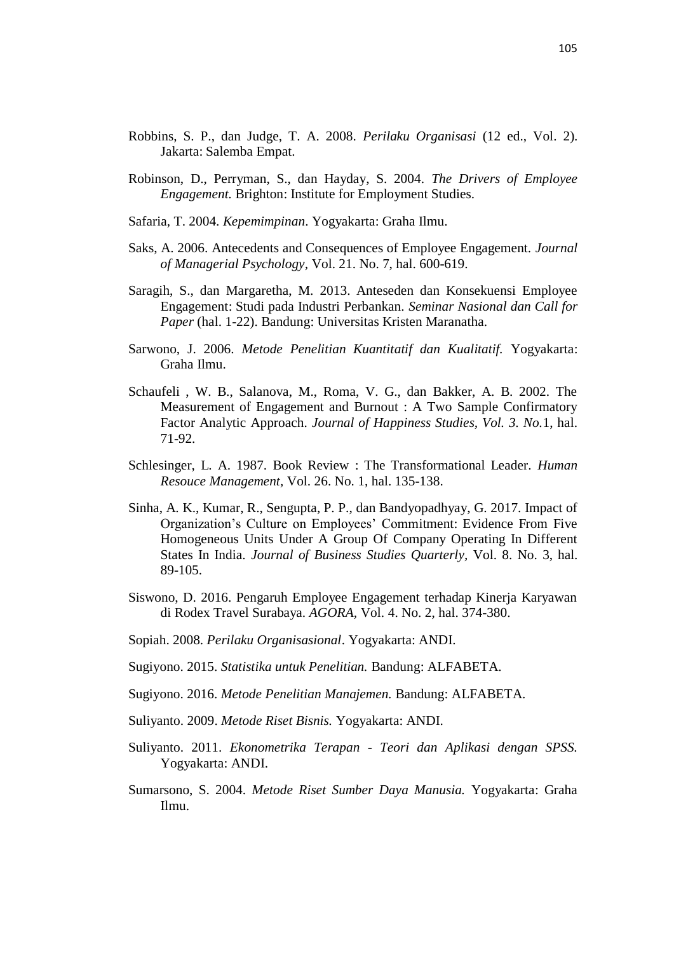- Robbins, S. P., dan Judge, T. A. 2008. *Perilaku Organisasi* (12 ed., Vol. 2). Jakarta: Salemba Empat.
- Robinson, D., Perryman, S., dan Hayday, S. 2004. *The Drivers of Employee Engagement.* Brighton: Institute for Employment Studies.
- Safaria, T. 2004. *Kepemimpinan*. Yogyakarta: Graha Ilmu.
- Saks, A. 2006. Antecedents and Consequences of Employee Engagement. *Journal of Managerial Psychology,* Vol. 21. No. 7, hal. 600-619.
- Saragih, S., dan Margaretha, M. 2013. Anteseden dan Konsekuensi Employee Engagement: Studi pada Industri Perbankan. *Seminar Nasional dan Call for Paper* (hal. 1-22). Bandung: Universitas Kristen Maranatha.
- Sarwono, J. 2006. *Metode Penelitian Kuantitatif dan Kualitatif.* Yogyakarta: Graha Ilmu.
- Schaufeli , W. B., Salanova, M., Roma, V. G., dan Bakker, A. B. 2002. The Measurement of Engagement and Burnout : A Two Sample Confirmatory Factor Analytic Approach. *Journal of Happiness Studies, Vol. 3. No.*1, hal. 71-92.
- Schlesinger, L. A. 1987. Book Review : The Transformational Leader. *Human Resouce Management,* Vol. 26. No. 1, hal. 135-138.
- Sinha, A. K., Kumar, R., Sengupta, P. P., dan Bandyopadhyay, G. 2017. Impact of Organization's Culture on Employees' Commitment: Evidence From Five Homogeneous Units Under A Group Of Company Operating In Different States In India. *Journal of Business Studies Quarterly,* Vol. 8. No. 3, hal. 89-105.
- Siswono, D. 2016. Pengaruh Employee Engagement terhadap Kinerja Karyawan di Rodex Travel Surabaya. *AGORA,* Vol. 4. No. 2, hal. 374-380.
- Sopiah. 2008. *Perilaku Organisasional*. Yogyakarta: ANDI.
- Sugiyono. 2015. *Statistika untuk Penelitian.* Bandung: ALFABETA.
- Sugiyono. 2016. *Metode Penelitian Manajemen.* Bandung: ALFABETA.
- Suliyanto. 2009. *Metode Riset Bisnis.* Yogyakarta: ANDI.
- Suliyanto. 2011. *Ekonometrika Terapan - Teori dan Aplikasi dengan SPSS.* Yogyakarta: ANDI.
- Sumarsono, S. 2004. *Metode Riset Sumber Daya Manusia.* Yogyakarta: Graha Ilmu.